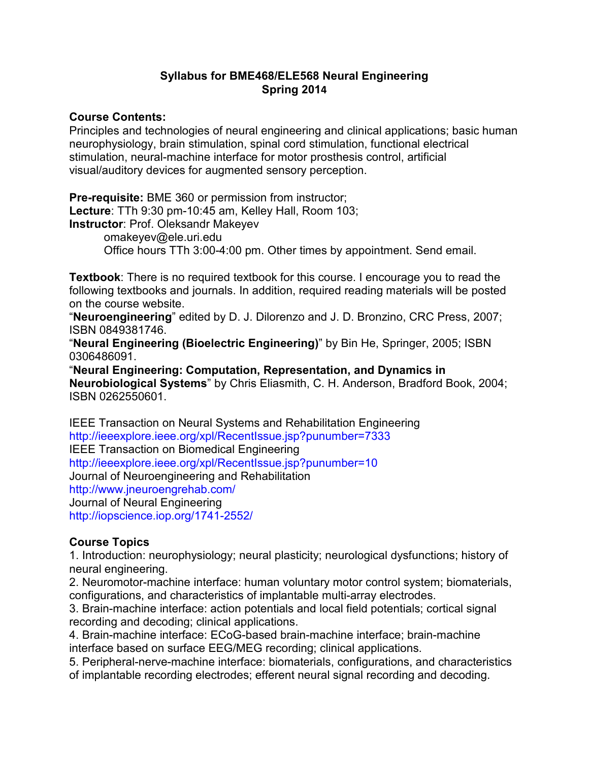## **Syllabus for BME468/ELE568 Neural Engineering Spring 2014**

## **Course Contents:**

Principles and technologies of neural engineering and clinical applications; basic human neurophysiology, brain stimulation, spinal cord stimulation, functional electrical stimulation, neural-machine interface for motor prosthesis control, artificial visual/auditory devices for augmented sensory perception.

**Pre-requisite:** BME 360 or permission from instructor; **Lecture**: TTh 9:30 pm-10:45 am, Kelley Hall, Room 103; **Instructor**: Prof. Oleksandr Makeyev omakeyev@ele.uri.edu Office hours TTh 3:00-4:00 pm. Other times by appointment. Send email.

**Textbook**: There is no required textbook for this course. I encourage you to read the following textbooks and journals. In addition, required reading materials will be posted on the course website.

"**Neuroengineering**" edited by D. J. Dilorenzo and J. D. Bronzino, CRC Press, 2007; ISBN 0849381746.

"**Neural Engineering (Bioelectric Engineering)**" by Bin He, Springer, 2005; ISBN 0306486091.

"**Neural Engineering: Computation, Representation, and Dynamics in Neurobiological Systems**" by Chris Eliasmith, C. H. Anderson, Bradford Book, 2004; ISBN 0262550601.

IEEE Transaction on Neural Systems and Rehabilitation Engineering http://ieeexplore.ieee.org/xpl/RecentIssue.jsp?punumber=7333 IEEE Transaction on Biomedical Engineering http://ieeexplore.ieee.org/xpl/RecentIssue.jsp?punumber=10 Journal of Neuroengineering and Rehabilitation http://www.jneuroengrehab.com/ Journal of Neural Engineering http://iopscience.iop.org/1741-2552/

## **Course Topics**

1. Introduction: neurophysiology; neural plasticity; neurological dysfunctions; history of neural engineering.

2. Neuromotor-machine interface: human voluntary motor control system; biomaterials, configurations, and characteristics of implantable multi-array electrodes.

3. Brain-machine interface: action potentials and local field potentials; cortical signal recording and decoding; clinical applications.

4. Brain-machine interface: ECoG-based brain-machine interface; brain-machine interface based on surface EEG/MEG recording; clinical applications.

5. Peripheral-nerve-machine interface: biomaterials, configurations, and characteristics of implantable recording electrodes; efferent neural signal recording and decoding.